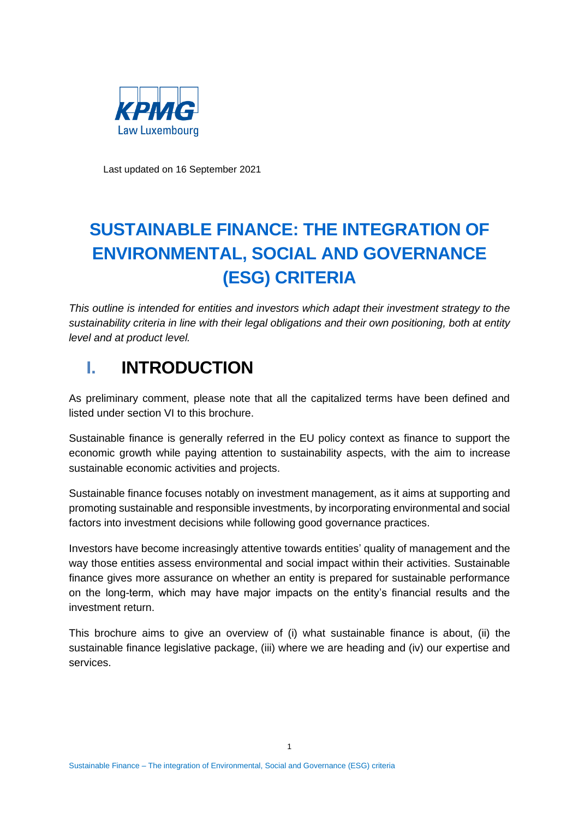

Last updated on 16 September 2021

# **SUSTAINABLE FINANCE: THE INTEGRATION OF ENVIRONMENTAL, SOCIAL AND GOVERNANCE (ESG) CRITERIA**

*This outline is intended for entities and investors which adapt their investment strategy to the sustainability criteria in line with their legal obligations and their own positioning, both at entity level and at product level.*

# **I. INTRODUCTION**

As preliminary comment, please note that all the capitalized terms have been defined and listed under section [VI](#page-15-0) to this brochure.

Sustainable finance is generally referred in the EU policy context as finance to support the economic growth while paying attention to sustainability aspects, with the aim to increase sustainable economic activities and projects.

Sustainable finance focuses notably on investment management, as it aims at supporting and promoting sustainable and responsible investments, by incorporating environmental and social factors into investment decisions while following good governance practices.

Investors have become increasingly attentive towards entities' quality of management and the way those entities assess environmental and social impact within their activities. Sustainable finance gives more assurance on whether an entity is prepared for sustainable performance on the long-term, which may have major impacts on the entity's financial results and the investment return.

This brochure aims to give an overview of (i) what sustainable finance is about, (ii) the sustainable finance legislative package, (iii) where we are heading and (iv) our expertise and services.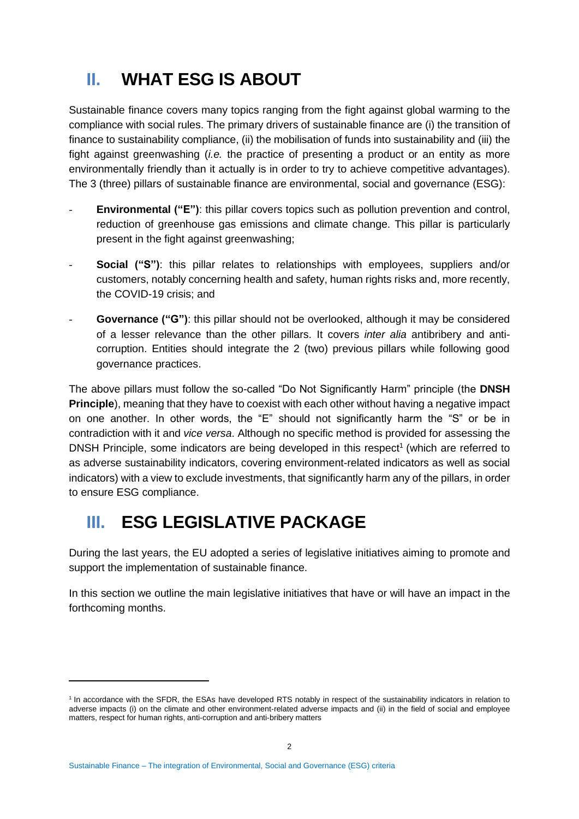# <span id="page-1-1"></span>**II. WHAT ESG IS ABOUT**

Sustainable finance covers many topics ranging from the fight against global warming to the compliance with social rules. The primary drivers of sustainable finance are (i) the transition of finance to sustainability compliance, (ii) the mobilisation of funds into sustainability and (iii) the fight against greenwashing (*i.e.* the practice of presenting a product or an entity as more environmentally friendly than it actually is in order to try to achieve competitive advantages). The 3 (three) pillars of sustainable finance are environmental, social and governance (ESG):

- **Environmental ("E")**: this pillar covers topics such as pollution prevention and control, reduction of greenhouse gas emissions and climate change. This pillar is particularly present in the fight against greenwashing;
- **Social ("S")**: this pillar relates to relationships with employees, suppliers and/or customers, notably concerning health and safety, human rights risks and, more recently, the COVID-19 crisis; and
- **Governance ("G")**: this pillar should not be overlooked, although it may be considered of a lesser relevance than the other pillars. It covers *inter alia* antibribery and anticorruption. Entities should integrate the 2 (two) previous pillars while following good governance practices.

The above pillars must follow the so-called "Do Not Significantly Harm" principle (the **DNSH Principle**), meaning that they have to coexist with each other without having a negative impact on one another. In other words, the "E" should not significantly harm the "S" or be in contradiction with it and *vice versa*. Although no specific method is provided for assessing the DNSH Principle, some indicators are being developed in this respect<sup>1</sup> (which are referred to as adverse sustainability indicators, covering environment-related indicators as well as social indicators) with a view to exclude investments, that significantly harm any of the pillars, in order to ensure ESG compliance.

# <span id="page-1-0"></span>**III. ESG LEGISLATIVE PACKAGE**

During the last years, the EU adopted a series of legislative initiatives aiming to promote and support the implementation of sustainable finance.

In this section we outline the main legislative initiatives that have or will have an impact in the forthcoming months.

<sup>&</sup>lt;sup>1</sup> In accordance with the SFDR, the ESAs have developed RTS notably in respect of the sustainability indicators in relation to adverse impacts (i) on the climate and other environment‐related adverse impacts and (ii) in the field of social and employee matters, respect for human rights, anti‐corruption and anti‐bribery matters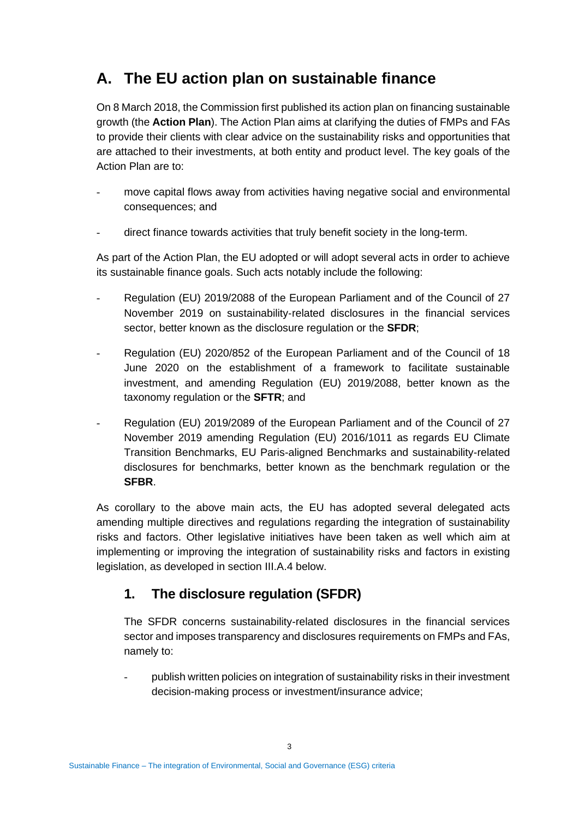## <span id="page-2-0"></span>**A. The EU action plan on sustainable finance**

On 8 March 2018, the Commission first published its action plan on financing sustainable growth (the **Action Plan**). The Action Plan aims at clarifying the duties of FMPs and FAs to provide their clients with clear advice on the sustainability risks and opportunities that are attached to their investments, at both entity and product level. The key goals of the Action Plan are to:

- move capital flows away from activities having negative social and environmental consequences; and
- direct finance towards activities that truly benefit society in the long-term.

As part of the Action Plan, the EU adopted or will adopt several acts in order to achieve its sustainable finance goals. Such acts notably include the following:

- Regulation (EU) 2019/2088 of the European Parliament and of the Council of 27 November 2019 on sustainability‐related disclosures in the financial services sector, better known as the disclosure regulation or the **SFDR**;
- Regulation (EU) 2020/852 of the European Parliament and of the Council of 18 June 2020 on the establishment of a framework to facilitate sustainable investment, and amending Regulation (EU) 2019/2088, better known as the taxonomy regulation or the **SFTR**; and
- Regulation (EU) 2019/2089 of the European Parliament and of the Council of 27 November 2019 amending Regulation (EU) 2016/1011 as regards EU Climate Transition Benchmarks, EU Paris-aligned Benchmarks and sustainability-related disclosures for benchmarks, better known as the benchmark regulation or the **SFBR**.

As corollary to the above main acts, the EU has adopted several delegated acts amending multiple directives and regulations regarding the integration of sustainability risks and factors. Other legislative initiatives have been taken as well which aim at implementing or improving the integration of sustainability risks and factors in existing legislation, as developed in section [III](#page-1-0)[.A](#page-2-0)[.4](#page-6-0) below.

### <span id="page-2-1"></span>**1. The disclosure regulation (SFDR)**

The SFDR concerns sustainability-related disclosures in the financial services sector and imposes transparency and disclosures requirements on FMPs and FAs, namely to:

publish written policies on integration of sustainability risks in their investment decision-making process or investment/insurance advice;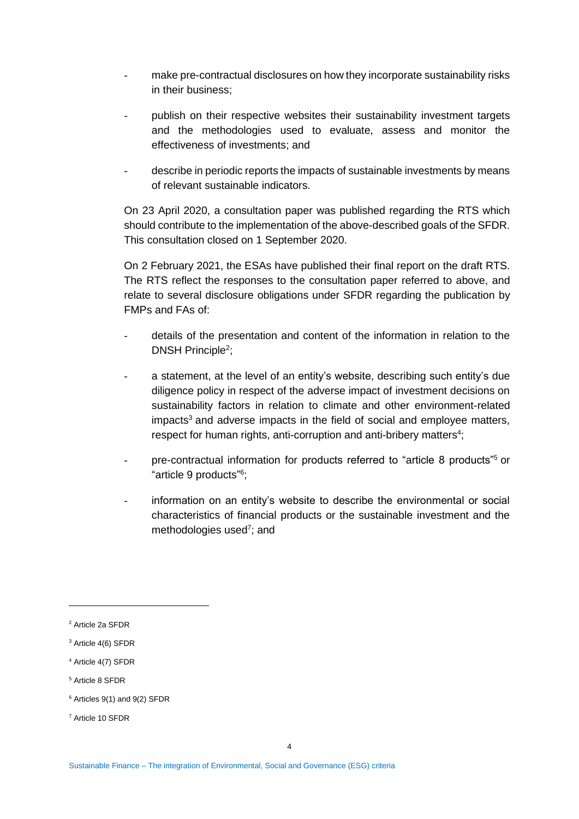- make pre-contractual disclosures on how they incorporate sustainability risks in their business;
- publish on their respective websites their sustainability investment targets and the methodologies used to evaluate, assess and monitor the effectiveness of investments; and
- describe in periodic reports the impacts of sustainable investments by means of relevant sustainable indicators.

On 23 April 2020, a consultation paper was published regarding the RTS which should contribute to the implementation of the above-described goals of the SFDR. This consultation closed on 1 September 2020.

On 2 February 2021, the ESAs have published their final report on the draft RTS. The RTS reflect the responses to the consultation paper referred to above, and relate to several disclosure obligations under SFDR regarding the publication by FMPs and FAs of:

- details of the presentation and content of the information in relation to the DNSH Principle<sup>2</sup>;
- a statement, at the level of an entity's website, describing such entity's due diligence policy in respect of the adverse impact of investment decisions on sustainability factors in relation to climate and other environment-related impacts<sup>3</sup> and adverse impacts in the field of social and employee matters, respect for human rights, anti-corruption and anti-bribery matters<sup>4</sup>;
- pre-contractual information for products referred to "article 8 products"<sup>5</sup> or "article 9 products" 6 ;
- information on an entity's website to describe the environmental or social characteristics of financial products or the sustainable investment and the methodologies used<sup>7</sup>; and

<sup>7</sup> Article 10 SFDR

<sup>2</sup> Article 2a SFDR

<sup>&</sup>lt;sup>3</sup> Article 4(6) SFDR

<sup>4</sup> Article 4(7) SFDR

<sup>5</sup> Article 8 SFDR

 $6$  Articles 9(1) and 9(2) SFDR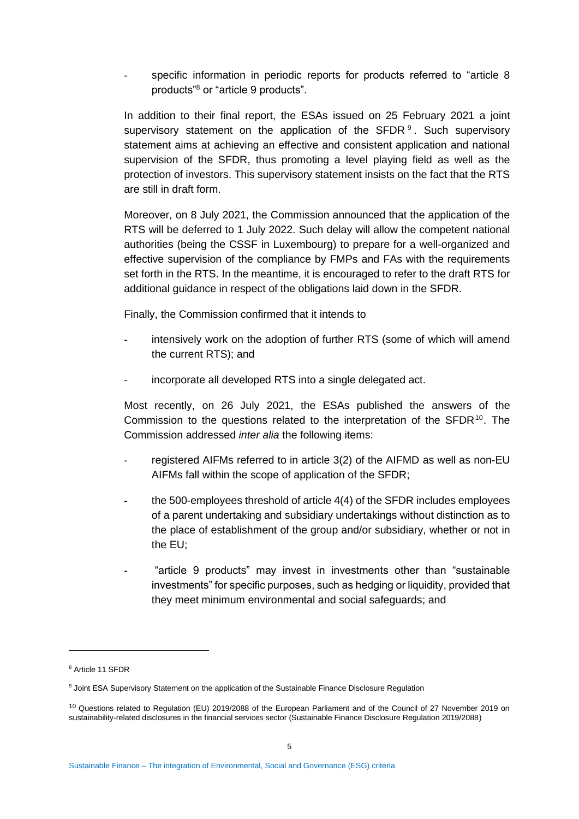specific information in periodic reports for products referred to "article 8 products"<sup>8</sup> or "article 9 products".

In addition to their final report, the ESAs issued on 25 February 2021 a joint supervisory statement on the application of the SFDR  $9$ . Such supervisory statement aims at achieving an effective and consistent application and national supervision of the SFDR, thus promoting a level playing field as well as the protection of investors. This supervisory statement insists on the fact that the RTS are still in draft form.

Moreover, on 8 July 2021, the Commission announced that the application of the RTS will be deferred to 1 July 2022. Such delay will allow the competent national authorities (being the CSSF in Luxembourg) to prepare for a well-organized and effective supervision of the compliance by FMPs and FAs with the requirements set forth in the RTS. In the meantime, it is encouraged to refer to the draft RTS for additional guidance in respect of the obligations laid down in the SFDR.

Finally, the Commission confirmed that it intends to

- intensively work on the adoption of further RTS (some of which will amend the current RTS); and
- incorporate all developed RTS into a single delegated act.

Most recently, on 26 July 2021, the ESAs published the answers of the Commission to the questions related to the interpretation of the SFDR<sup>10</sup>. The Commission addressed *inter alia* the following items:

- registered AIFMs referred to in article 3(2) of the AIFMD as well as non-EU AIFMs fall within the scope of application of the SFDR;
- the 500-employees threshold of article 4(4) of the SFDR includes employees of a parent undertaking and subsidiary undertakings without distinction as to the place of establishment of the group and/or subsidiary, whether or not in the EU;
- "article 9 products" may invest in investments other than "sustainable investments" for specific purposes, such as hedging or liquidity, provided that they meet minimum environmental and social safeguards; and

<sup>8</sup> Article 11 SFDR

<sup>9</sup> Joint ESA Supervisory Statement on the application of the Sustainable Finance Disclosure Regulation

<sup>&</sup>lt;sup>10</sup> Questions related to Regulation (EU) 2019/2088 of the European Parliament and of the Council of 27 November 2019 on sustainability‐related disclosures in the financial services sector (Sustainable Finance Disclosure Regulation 2019/2088)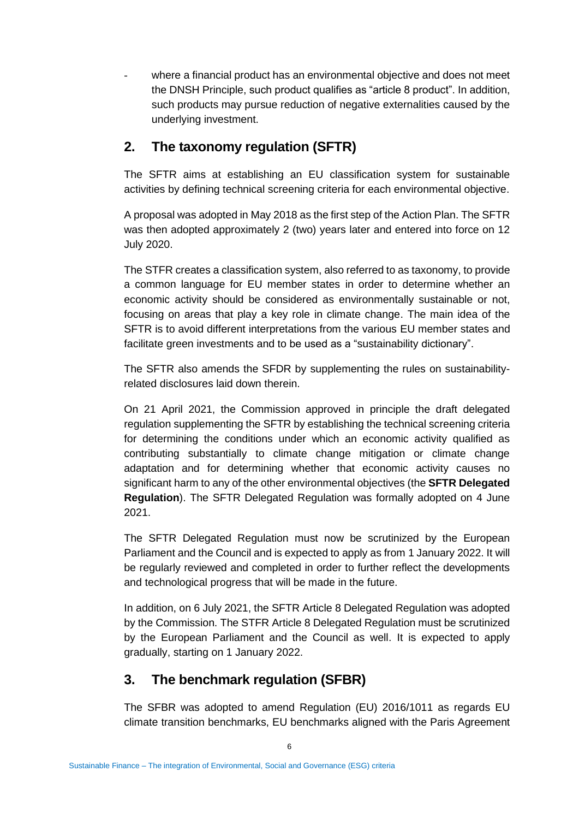where a financial product has an environmental objective and does not meet the DNSH Principle, such product qualifies as "article 8 product". In addition, such products may pursue reduction of negative externalities caused by the underlying investment.

#### <span id="page-5-1"></span>**2. The taxonomy regulation (SFTR)**

The SFTR aims at establishing an EU classification system for sustainable activities by defining technical screening criteria for each environmental objective.

A proposal was adopted in May 2018 as the first step of the Action Plan. The SFTR was then adopted approximately 2 (two) years later and entered into force on 12 July 2020.

The STFR creates a classification system, also referred to as taxonomy, to provide a common language for EU member states in order to determine whether an economic activity should be considered as environmentally sustainable or not, focusing on areas that play a key role in climate change. The main idea of the SFTR is to avoid different interpretations from the various EU member states and facilitate green investments and to be used as a "sustainability dictionary".

The SFTR also amends the SFDR by supplementing the rules on sustainabilityrelated disclosures laid down therein.

On 21 April 2021, the Commission approved in principle the draft delegated regulation supplementing the SFTR by establishing the technical screening criteria for determining the conditions under which an economic activity qualified as contributing substantially to climate change mitigation or climate change adaptation and for determining whether that economic activity causes no significant harm to any of the other environmental objectives (the **SFTR Delegated Regulation**). The SFTR Delegated Regulation was formally adopted on 4 June 2021.

The SFTR Delegated Regulation must now be scrutinized by the European Parliament and the Council and is expected to apply as from 1 January 2022. It will be regularly reviewed and completed in order to further reflect the developments and technological progress that will be made in the future.

In addition, on 6 July 2021, the SFTR Article 8 Delegated Regulation was adopted by the Commission. The STFR Article 8 Delegated Regulation must be scrutinized by the European Parliament and the Council as well. It is expected to apply gradually, starting on 1 January 2022.

#### <span id="page-5-0"></span>**3. The benchmark regulation (SFBR)**

The SFBR was adopted to amend Regulation (EU) 2016/1011 as regards EU climate transition benchmarks, EU benchmarks aligned with the Paris Agreement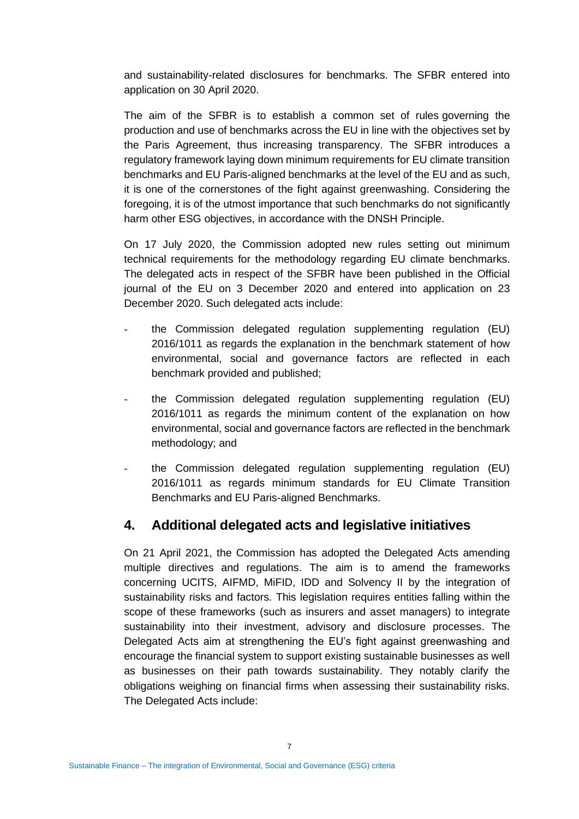and sustainability-related disclosures for benchmarks. The SFBR entered into application on 30 April 2020.

The aim of the SFBR is to establish a common set of rules governing the production and use of benchmarks across the EU in line with the objectives set by the Paris Agreement, thus increasing transparency. The SFBR introduces a regulatory framework laying down minimum requirements for EU climate transition benchmarks and EU Paris-aligned benchmarks at the level of the EU and as such, it is one of the cornerstones of the fight against greenwashing. Considering the foregoing, it is of the utmost importance that such benchmarks do not significantly harm other ESG objectives, in accordance with the DNSH Principle.

On 17 July 2020, the Commission adopted new rules setting out minimum technical requirements for the methodology regarding EU climate benchmarks. The delegated acts in respect of the SFBR have been published in the Official journal of the EU on 3 December 2020 and entered into application on 23 December 2020. Such delegated acts include:

- the Commission delegated regulation supplementing regulation (EU) 2016/1011 as regards the explanation in the benchmark statement of how environmental, social and governance factors are reflected in each benchmark provided and published;
- the Commission delegated regulation supplementing regulation (EU) 2016/1011 as regards the minimum content of the explanation on how environmental, social and governance factors are reflected in the benchmark methodology; and
- the Commission delegated regulation supplementing regulation (EU) 2016/1011 as regards minimum standards for EU Climate Transition Benchmarks and EU Paris-aligned Benchmarks.

#### <span id="page-6-0"></span>**4. Additional delegated acts and legislative initiatives**

On 21 April 2021, the Commission has adopted the Delegated Acts amending multiple directives and regulations. The aim is to amend the frameworks concerning UCITS, AIFMD, MiFID, IDD and Solvency II by the integration of sustainability risks and factors. This legislation requires entities falling within the scope of these frameworks (such as insurers and asset managers) to integrate sustainability into their investment, advisory and disclosure processes. The Delegated Acts aim at strengthening the EU's fight against greenwashing and encourage the financial system to support existing sustainable businesses as well as businesses on their path towards sustainability. They notably clarify the obligations weighing on financial firms when assessing their sustainability risks. The Delegated Acts include: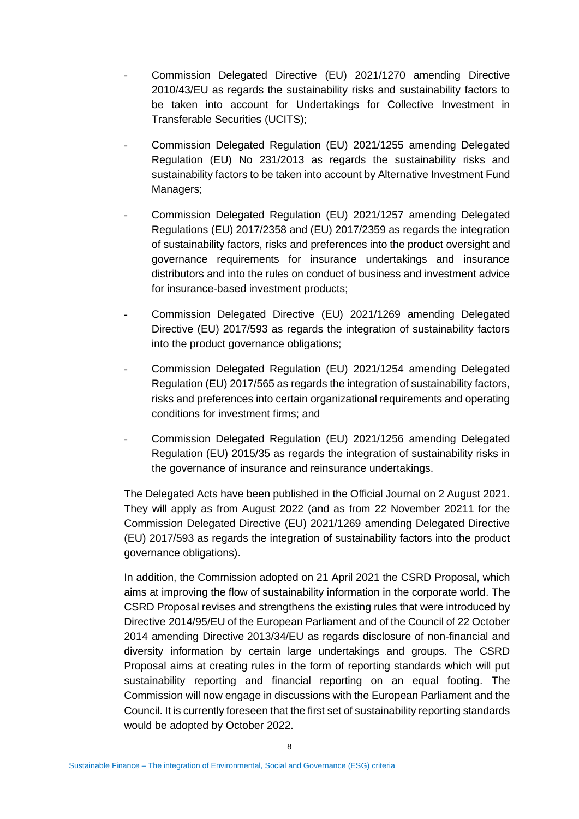- Commission Delegated Directive (EU) 2021/1270 amending Directive 2010/43/EU as regards the sustainability risks and sustainability factors to be taken into account for Undertakings for Collective Investment in Transferable Securities (UCITS);
- Commission Delegated Regulation (EU) 2021/1255 amending Delegated Regulation (EU) No 231/2013 as regards the sustainability risks and sustainability factors to be taken into account by Alternative Investment Fund Managers;
- Commission Delegated Regulation (EU) 2021/1257 amending Delegated Regulations (EU) 2017/2358 and (EU) 2017/2359 as regards the integration of sustainability factors, risks and preferences into the product oversight and governance requirements for insurance undertakings and insurance distributors and into the rules on conduct of business and investment advice for insurance-based investment products;
- Commission Delegated Directive (EU) 2021/1269 amending Delegated Directive (EU) 2017/593 as regards the integration of sustainability factors into the product governance obligations;
- Commission Delegated Regulation (EU) 2021/1254 amending Delegated Regulation (EU) 2017/565 as regards the integration of sustainability factors, risks and preferences into certain organizational requirements and operating conditions for investment firms; and
- Commission Delegated Regulation (EU) 2021/1256 amending Delegated Regulation (EU) 2015/35 as regards the integration of sustainability risks in the governance of insurance and reinsurance undertakings.

The Delegated Acts have been published in the Official Journal on 2 August 2021. They will apply as from August 2022 (and as from 22 November 20211 for the Commission Delegated Directive (EU) 2021/1269 amending Delegated Directive (EU) 2017/593 as regards the integration of sustainability factors into the product governance obligations).

In addition, the Commission adopted on 21 April 2021 the CSRD Proposal, which aims at improving the flow of sustainability information in the corporate world. The CSRD Proposal revises and strengthens the existing rules that were introduced by Directive 2014/95/EU of the European Parliament and of the Council of 22 October 2014 amending Directive 2013/34/EU as regards disclosure of non-financial and diversity information by certain large undertakings and groups. The CSRD Proposal aims at creating rules in the form of reporting standards which will put sustainability reporting and financial reporting on an equal footing. The Commission will now engage in discussions with the European Parliament and the Council. It is currently foreseen that the first set of sustainability reporting standards would be adopted by October 2022.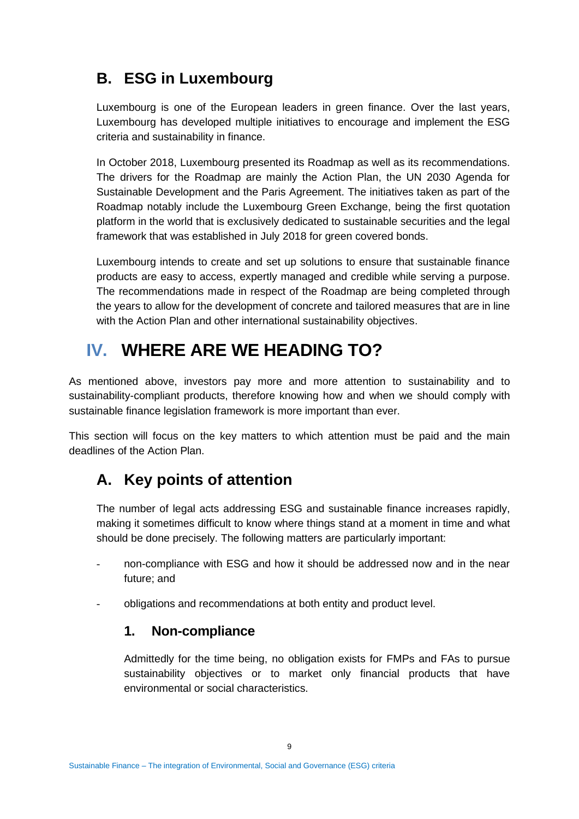## <span id="page-8-0"></span>**B. ESG in Luxembourg**

Luxembourg is one of the European leaders in green finance. Over the last years, Luxembourg has developed multiple initiatives to encourage and implement the ESG criteria and sustainability in finance.

In October 2018, Luxembourg presented its Roadmap as well as its recommendations. The drivers for the Roadmap are mainly the Action Plan, the UN 2030 Agenda for Sustainable Development and the Paris Agreement. The initiatives taken as part of the Roadmap notably include the Luxembourg Green Exchange, being the first quotation platform in the world that is exclusively dedicated to sustainable securities and the legal framework that was established in July 2018 for green covered bonds.

Luxembourg intends to create and set up solutions to ensure that sustainable finance products are easy to access, expertly managed and credible while serving a purpose. The recommendations made in respect of the Roadmap are being completed through the years to allow for the development of concrete and tailored measures that are in line with the Action Plan and other international sustainability objectives.

# **IV. WHERE ARE WE HEADING TO?**

As mentioned above, investors pay more and more attention to sustainability and to sustainability-compliant products, therefore knowing how and when we should comply with sustainable finance legislation framework is more important than ever.

This section will focus on the key matters to which attention must be paid and the main deadlines of the Action Plan.

## **A. Key points of attention**

The number of legal acts addressing ESG and sustainable finance increases rapidly, making it sometimes difficult to know where things stand at a moment in time and what should be done precisely. The following matters are particularly important:

- non-compliance with ESG and how it should be addressed now and in the near future; and
- obligations and recommendations at both entity and product level.

#### **1. Non-compliance**

Admittedly for the time being, no obligation exists for FMPs and FAs to pursue sustainability objectives or to market only financial products that have environmental or social characteristics.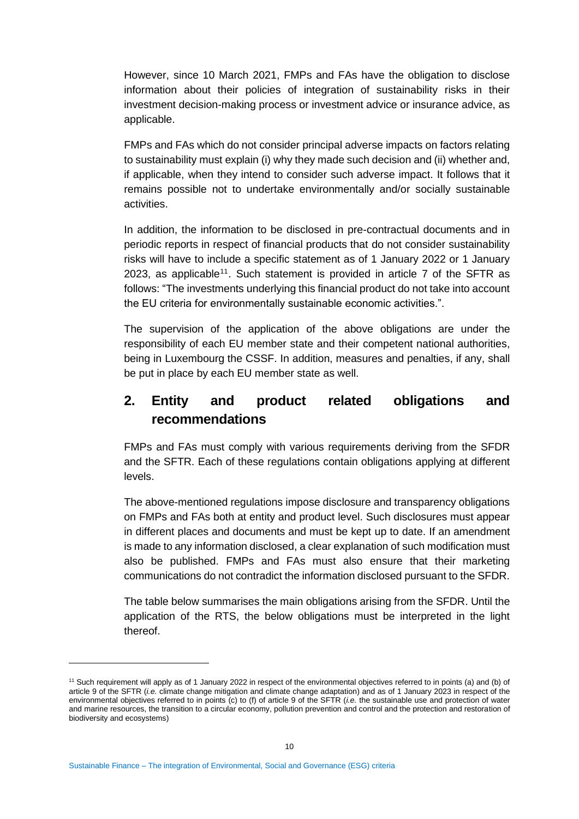However, since 10 March 2021, FMPs and FAs have the obligation to disclose information about their policies of integration of sustainability risks in their investment decision-making process or investment advice or insurance advice, as applicable.

FMPs and FAs which do not consider principal adverse impacts on factors relating to sustainability must explain (i) why they made such decision and (ii) whether and, if applicable, when they intend to consider such adverse impact. It follows that it remains possible not to undertake environmentally and/or socially sustainable activities.

In addition, the information to be disclosed in pre-contractual documents and in periodic reports in respect of financial products that do not consider sustainability risks will have to include a specific statement as of 1 January 2022 or 1 January 2023, as applicable<sup>11</sup>. Such statement is provided in article  $7$  of the SFTR as follows: "The investments underlying this financial product do not take into account the EU criteria for environmentally sustainable economic activities.".

The supervision of the application of the above obligations are under the responsibility of each EU member state and their competent national authorities, being in Luxembourg the CSSF. In addition, measures and penalties, if any, shall be put in place by each EU member state as well.

### **2. Entity and product related obligations and recommendations**

FMPs and FAs must comply with various requirements deriving from the SFDR and the SFTR. Each of these regulations contain obligations applying at different levels.

The above-mentioned regulations impose disclosure and transparency obligations on FMPs and FAs both at entity and product level. Such disclosures must appear in different places and documents and must be kept up to date. If an amendment is made to any information disclosed, a clear explanation of such modification must also be published. FMPs and FAs must also ensure that their marketing communications do not contradict the information disclosed pursuant to the SFDR.

The table below summarises the main obligations arising from the SFDR. Until the application of the RTS, the below obligations must be interpreted in the light thereof.

<sup>11</sup> Such requirement will apply as of 1 January 2022 in respect of the environmental objectives referred to in points (a) and (b) of article 9 of the SFTR (*i.e.* climate change mitigation and climate change adaptation) and as of 1 January 2023 in respect of the environmental objectives referred to in points (c) to (f) of article 9 of the SFTR (*i.e.* the sustainable use and protection of water and marine resources, the transition to a circular economy, pollution prevention and control and the protection and restoration of biodiversity and ecosystems)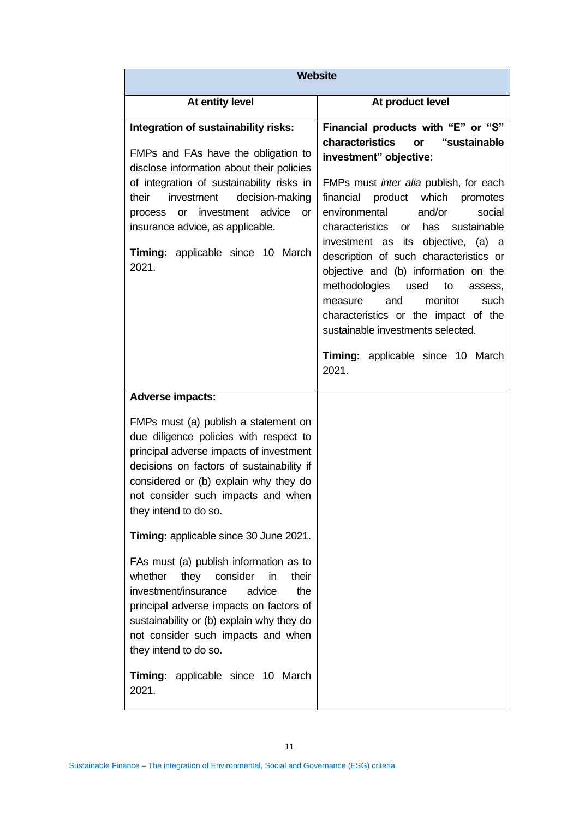| <b>Website</b>                                                                                                                                                                                                                                                                                                                                    |                                                                                                                                                                                                                                                                                                                                                                                                                                                                                                                                                                                                                 |  |
|---------------------------------------------------------------------------------------------------------------------------------------------------------------------------------------------------------------------------------------------------------------------------------------------------------------------------------------------------|-----------------------------------------------------------------------------------------------------------------------------------------------------------------------------------------------------------------------------------------------------------------------------------------------------------------------------------------------------------------------------------------------------------------------------------------------------------------------------------------------------------------------------------------------------------------------------------------------------------------|--|
| At entity level                                                                                                                                                                                                                                                                                                                                   | At product level                                                                                                                                                                                                                                                                                                                                                                                                                                                                                                                                                                                                |  |
| Integration of sustainability risks:<br>FMPs and FAs have the obligation to<br>disclose information about their policies<br>of integration of sustainability risks in<br>their<br>investment<br>decision-making<br>or investment advice<br>process<br><b>or</b><br>insurance advice, as applicable.<br>Timing: applicable since 10 March<br>2021. | Financial products with "E" or "S"<br>characteristics<br>"sustainable<br>or<br>investment" objective:<br>FMPs must inter alia publish, for each<br>product which<br>financial<br>promotes<br>environmental<br>and/or<br>social<br>characteristics<br>has<br>sustainable<br>or<br>investment as its objective, (a) a<br>description of such characteristics or<br>objective and (b) information on the<br>methodologies<br>used<br>to<br>assess,<br>and<br>monitor<br>measure<br>such<br>characteristics or the impact of the<br>sustainable investments selected.<br>Timing: applicable since 10 March<br>2021. |  |
| <b>Adverse impacts:</b><br>FMPs must (a) publish a statement on<br>due diligence policies with respect to<br>principal adverse impacts of investment<br>decisions on factors of sustainability if<br>considered or (b) explain why they do<br>not consider such impacts and when<br>they intend to do so.                                         |                                                                                                                                                                                                                                                                                                                                                                                                                                                                                                                                                                                                                 |  |
| Timing: applicable since 30 June 2021.                                                                                                                                                                                                                                                                                                            |                                                                                                                                                                                                                                                                                                                                                                                                                                                                                                                                                                                                                 |  |
| FAs must (a) publish information as to<br>whether<br>they<br>consider<br>in<br>their<br>investment/insurance<br>advice<br>the<br>principal adverse impacts on factors of<br>sustainability or (b) explain why they do<br>not consider such impacts and when<br>they intend to do so.<br>Timing: applicable since 10 March<br>2021.                |                                                                                                                                                                                                                                                                                                                                                                                                                                                                                                                                                                                                                 |  |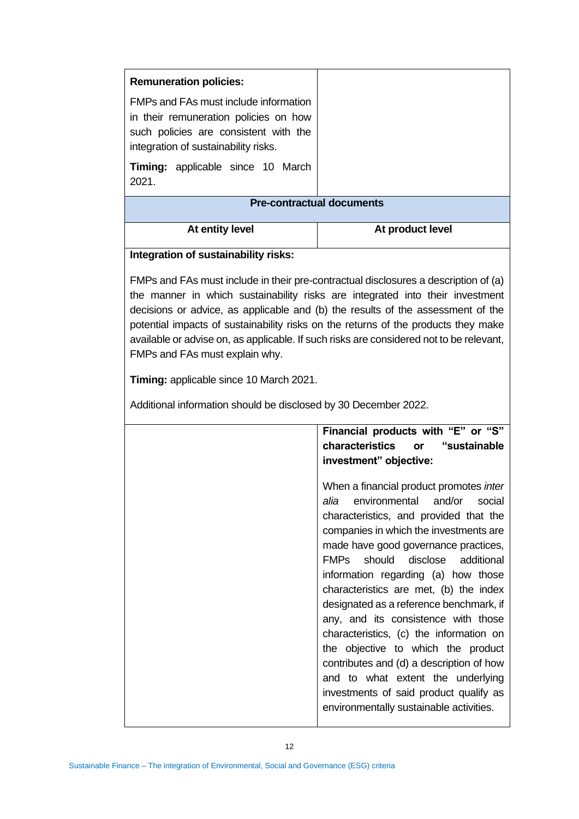| <b>Pre-contractual documents</b> |  |
|----------------------------------|--|
| At product level                 |  |
|                                  |  |

#### **Integration of sustainability risks:**

FMPs and FAs must include in their pre-contractual disclosures a description of (a) the manner in which sustainability risks are integrated into their investment decisions or advice, as applicable and (b) the results of the assessment of the potential impacts of sustainability risks on the returns of the products they make available or advise on, as applicable. If such risks are considered not to be relevant, FMPs and FAs must explain why.

**Timing:** applicable since 10 March 2021.

Additional information should be disclosed by 30 December 2022.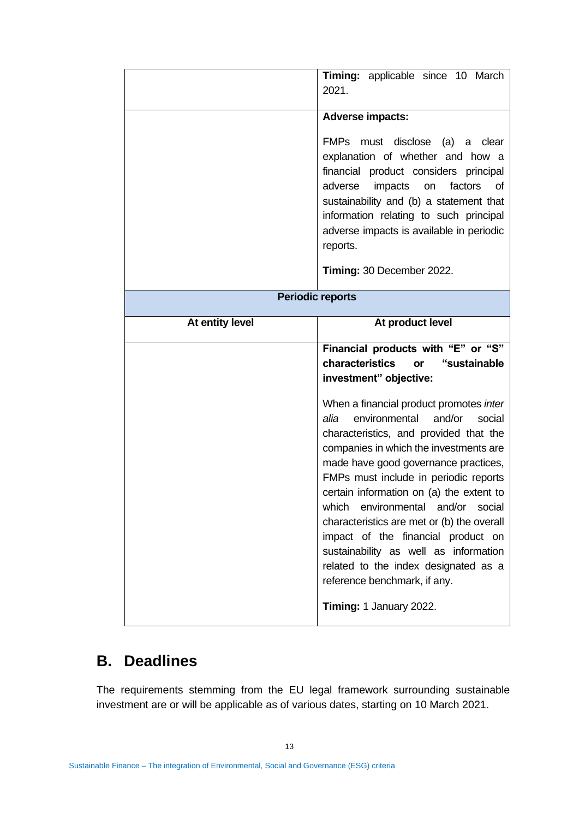|                         | Timing: applicable since 10 March<br>2021.                                                                                                                                                                                                                                                                                                                                                                                                                                                                                                            |
|-------------------------|-------------------------------------------------------------------------------------------------------------------------------------------------------------------------------------------------------------------------------------------------------------------------------------------------------------------------------------------------------------------------------------------------------------------------------------------------------------------------------------------------------------------------------------------------------|
|                         | <b>Adverse impacts:</b><br>FMPs must disclose (a)<br>clear<br>a<br>explanation of whether and how a<br>financial product considers principal<br>adverse<br>impacts<br>factors<br>of<br>on<br>sustainability and (b) a statement that<br>information relating to such principal<br>adverse impacts is available in periodic<br>reports.<br>Timing: 30 December 2022.                                                                                                                                                                                   |
| <b>Periodic reports</b> |                                                                                                                                                                                                                                                                                                                                                                                                                                                                                                                                                       |
| At entity level         | At product level                                                                                                                                                                                                                                                                                                                                                                                                                                                                                                                                      |
|                         | Financial products with "E" or "S"<br>characteristics<br>"sustainable<br>or<br>investment" objective:                                                                                                                                                                                                                                                                                                                                                                                                                                                 |
|                         | When a financial product promotes inter<br>environmental<br>and/or<br>alia<br>social<br>characteristics, and provided that the<br>companies in which the investments are<br>made have good governance practices,<br>FMPs must include in periodic reports<br>certain information on (a) the extent to<br>environmental and/or<br>which<br>social<br>characteristics are met or (b) the overall<br>impact of the financial product on<br>sustainability as well as information<br>related to the index designated as a<br>reference benchmark, if any. |
|                         | Timing: 1 January 2022.                                                                                                                                                                                                                                                                                                                                                                                                                                                                                                                               |

### **B. Deadlines**

The requirements stemming from the EU legal framework surrounding sustainable investment are or will be applicable as of various dates, starting on 10 March 2021.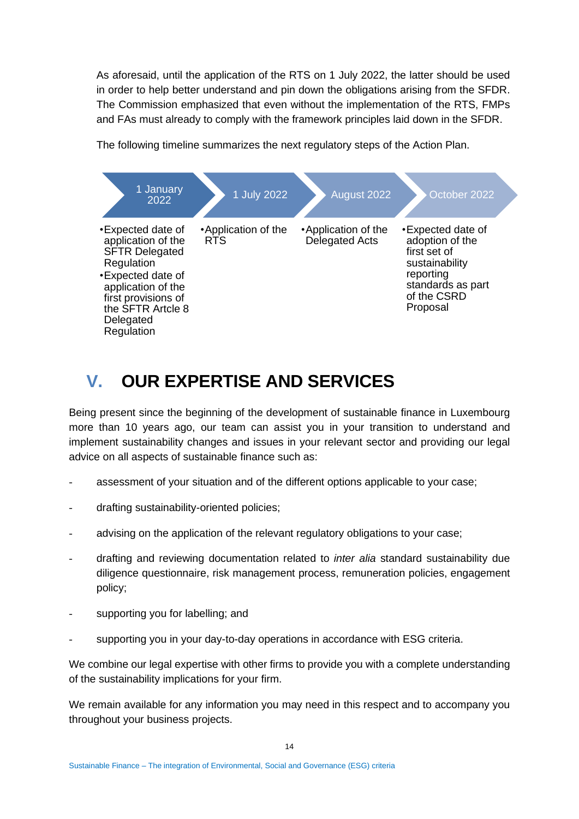As aforesaid, until the application of the RTS on 1 July 2022, the latter should be used in order to help better understand and pin down the obligations arising from the SFDR. The Commission emphasized that even without the implementation of the RTS, FMPs and FAs must already to comply with the framework principles laid down in the SFDR.



The following timeline summarizes the next regulatory steps of the Action Plan.

# **V. OUR EXPERTISE AND SERVICES**

Being present since the beginning of the development of sustainable finance in Luxembourg more than 10 years ago, our team can assist you in your transition to understand and implement sustainability changes and issues in your relevant sector and providing our legal advice on all aspects of sustainable finance such as:

- assessment of your situation and of the different options applicable to your case;
- drafting sustainability-oriented policies;
- advising on the application of the relevant regulatory obligations to your case;
- drafting and reviewing documentation related to *inter alia* standard sustainability due diligence questionnaire, risk management process, remuneration policies, engagement policy;
- supporting you for labelling; and
- supporting you in your day-to-day operations in accordance with ESG criteria.

We combine our legal expertise with other firms to provide you with a complete understanding of the sustainability implications for your firm.

We remain available for any information you may need in this respect and to accompany you throughout your business projects.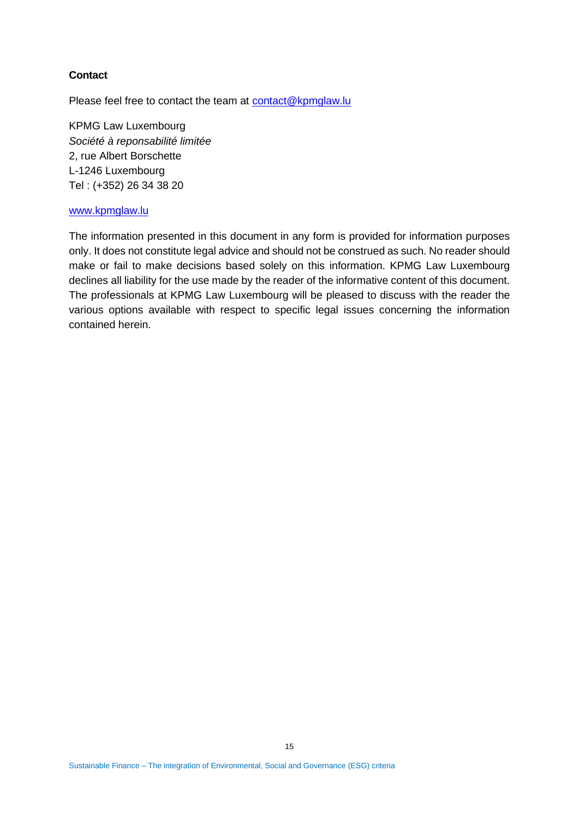#### **Contact**

Please feel free to contact the team at [contact@kpmglaw.lu](mailto:contact@kpmglaw.lu)

KPMG Law Luxembourg *Société à reponsabilité limitée* 2, rue Albert Borschette L-1246 Luxembourg Tel : (+352) 26 34 38 20

#### [www.kpmglaw.lu](http://www.kpmglaw.lu/)

The information presented in this document in any form is provided for information purposes only. It does not constitute legal advice and should not be construed as such. No reader should make or fail to make decisions based solely on this information. KPMG Law Luxembourg declines all liability for the use made by the reader of the informative content of this document. The professionals at KPMG Law Luxembourg will be pleased to discuss with the reader the various options available with respect to specific legal issues concerning the information contained herein.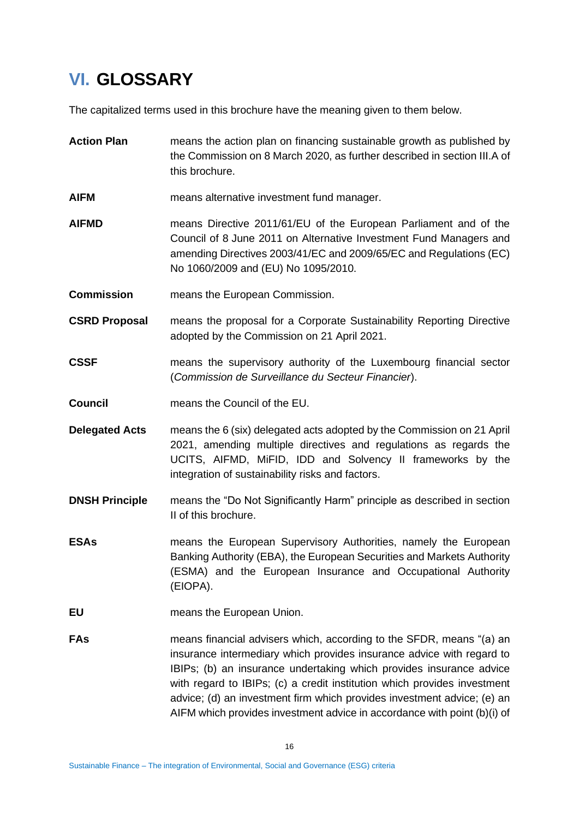# <span id="page-15-0"></span>**VI. GLOSSARY**

The capitalized terms used in this brochure have the meaning given to them below.

- **Action Plan** means the action plan on financing sustainable growth as published by the Commission on 8 March 2020, as further described in section [III](#page-1-0)[.A](#page-2-0) of this brochure.
- **AIFM** means alternative investment fund manager.
- **AIFMD** means Directive 2011/61/EU of the European Parliament and of the Council of 8 June 2011 on Alternative Investment Fund Managers and amending Directives 2003/41/EC and 2009/65/EC and Regulations (EC) No 1060/2009 and (EU) No 1095/2010.
- **Commission** means the European Commission.
- **CSRD Proposal** means the proposal for a Corporate Sustainability Reporting Directive adopted by the Commission on 21 April 2021.
- **CSSF** means the supervisory authority of the Luxembourg financial sector (*Commission de Surveillance du Secteur Financier*).
- **Council** means the Council of the EU.
- **Delegated Acts** means the 6 (six) delegated acts adopted by the Commission on 21 April 2021, amending multiple directives and regulations as regards the UCITS, AIFMD, MiFID, IDD and Solvency II frameworks by the integration of sustainability risks and factors.
- **DNSH Principle** means the "Do Not Significantly Harm" principle as described in section [II](#page-1-1) of this brochure.
- **ESAs** means the European Supervisory Authorities, namely the European Banking Authority (EBA), the European Securities and Markets Authority (ESMA) and the European Insurance and Occupational Authority (EIOPA).
- **EU** means the European Union.
- **FAs** means financial advisers which, according to the SFDR, means "(a) an insurance intermediary which provides insurance advice with regard to IBIPs; (b) an insurance undertaking which provides insurance advice with regard to IBIPs; (c) a credit institution which provides investment advice; (d) an investment firm which provides investment advice; (e) an AIFM which provides investment advice in accordance with point (b)(i) of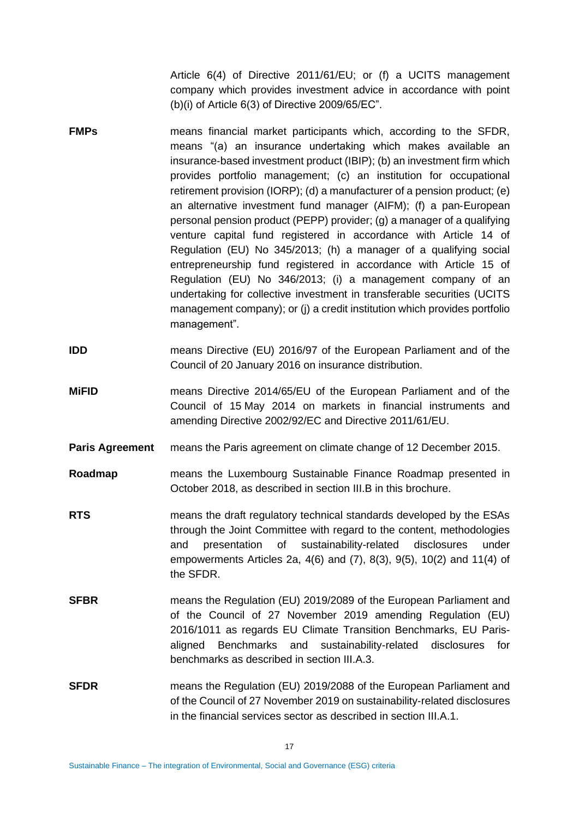Article 6(4) of Directive 2011/61/EU; or (f) a UCITS management company which provides investment advice in accordance with point (b)(i) of Article 6(3) of Directive 2009/65/EC".

- **FMPs** means financial market participants which, according to the SFDR, means "(a) an insurance undertaking which makes available an insurance‐based investment product (IBIP); (b) an investment firm which provides portfolio management; (c) an institution for occupational retirement provision (IORP); (d) a manufacturer of a pension product; (e) an alternative investment fund manager (AIFM); (f) a pan‐European personal pension product (PEPP) provider; (g) a manager of a qualifying venture capital fund registered in accordance with Article 14 of Regulation (EU) No 345/2013; (h) a manager of a qualifying social entrepreneurship fund registered in accordance with Article 15 of Regulation (EU) No 346/2013; (i) a management company of an undertaking for collective investment in transferable securities (UCITS management company); or (j) a credit institution which provides portfolio management".
- **IDD** means Directive (EU) 2016/97 of the European Parliament and of the Council of 20 January 2016 on insurance distribution.
- **MiFID** means Directive 2014/65/EU of the European Parliament and of the Council of 15 May 2014 on markets in financial instruments and amending Directive 2002/92/EC and Directive 2011/61/EU.
- **Paris Agreement** means the Paris agreement on climate change of 12 December 2015.
- **Roadmap** means the Luxembourg Sustainable Finance Roadmap presented in October 2018, as described in section [III](#page-1-0)[.B](#page-8-0) in this brochure.
- **RTS** means the draft regulatory technical standards developed by the ESAs through the Joint Committee with regard to the content, methodologies and presentation of sustainability-related disclosures under empowerments Articles 2a, 4(6) and (7), 8(3), 9(5), 10(2) and 11(4) of the SFDR.
- **SFBR** means the Regulation (EU) 2019/2089 of the European Parliament and of the Council of 27 November 2019 amending Regulation (EU) 2016/1011 as regards EU Climate Transition Benchmarks, EU Parisaligned Benchmarks and sustainability-related disclosures for benchmarks as described in section [III](#page-1-0)[.A.](#page-2-0)[3.](#page-5-0)
- **SFDR** means the Regulation (EU) 2019/2088 of the European Parliament and of the Council of 27 November 2019 on sustainability‐related disclosures in the financial services sector as described in section [III](#page-1-0)[.A](#page-2-0)[.1.](#page-2-1)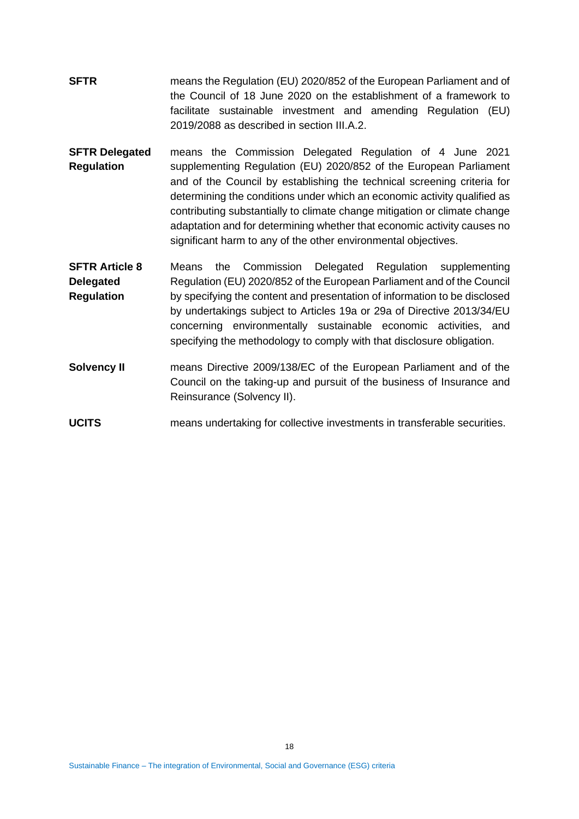- **SFTR** means the Regulation (EU) 2020/852 of the European Parliament and of the Council of 18 June 2020 on the establishment of a framework to facilitate sustainable investment and amending Regulation (EU) 2019/2088 as described in section [III](#page-1-0)[.A.](#page-2-0)[2.](#page-5-1)
- **SFTR Delegated Regulation** means the Commission Delegated Regulation of 4 June 2021 supplementing Regulation (EU) 2020/852 of the European Parliament and of the Council by establishing the technical screening criteria for determining the conditions under which an economic activity qualified as contributing substantially to climate change mitigation or climate change adaptation and for determining whether that economic activity causes no significant harm to any of the other environmental objectives.
- **SFTR Article 8 Delegated Regulation** Means the Commission Delegated Regulation supplementing Regulation (EU) 2020/852 of the European Parliament and of the Council by specifying the content and presentation of information to be disclosed by undertakings subject to Articles 19a or 29a of Directive 2013/34/EU concerning environmentally sustainable economic activities, and specifying the methodology to comply with that disclosure obligation.
- **Solvency II means Directive 2009/138/EC of the European Parliament and of the** Council on the taking-up and pursuit of the business of Insurance and Reinsurance (Solvency II).
- **UCITS** means undertaking for collective investments in transferable securities.